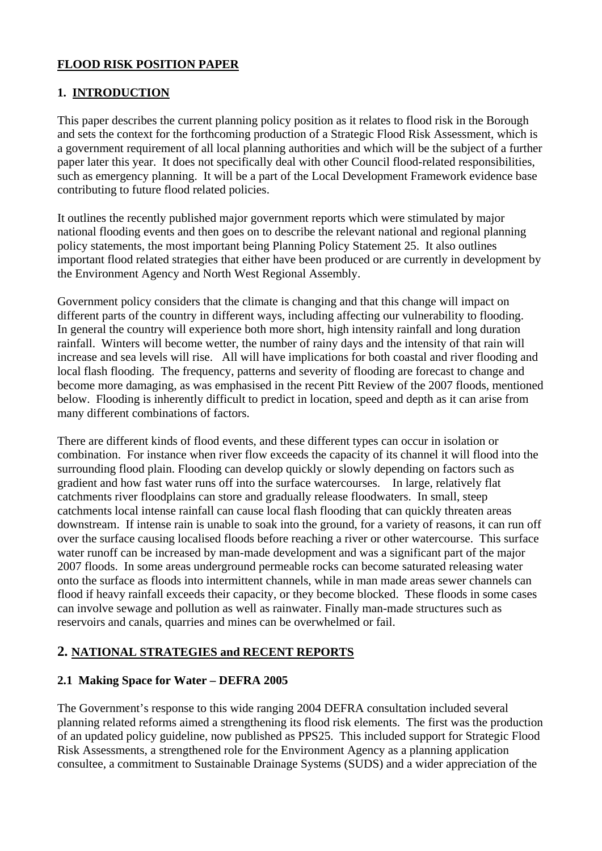## **FLOOD RISK POSITION PAPER**

## **1. INTRODUCTION**

This paper describes the current planning policy position as it relates to flood risk in the Borough and sets the context for the forthcoming production of a Strategic Flood Risk Assessment, which is a government requirement of all local planning authorities and which will be the subject of a further paper later this year. It does not specifically deal with other Council flood-related responsibilities, such as emergency planning. It will be a part of the Local Development Framework evidence base contributing to future flood related policies.

It outlines the recently published major government reports which were stimulated by major national flooding events and then goes on to describe the relevant national and regional planning policy statements, the most important being Planning Policy Statement 25. It also outlines important flood related strategies that either have been produced or are currently in development by the Environment Agency and North West Regional Assembly.

Government policy considers that the climate is changing and that this change will impact on different parts of the country in different ways, including affecting our vulnerability to flooding. In general the country will experience both more short, high intensity rainfall and long duration rainfall. Winters will become wetter, the number of rainy days and the intensity of that rain will increase and sea levels will rise. All will have implications for both coastal and river flooding and local flash flooding. The frequency, patterns and severity of flooding are forecast to change and become more damaging, as was emphasised in the recent Pitt Review of the 2007 floods, mentioned below. Flooding is inherently difficult to predict in location, speed and depth as it can arise from many different combinations of factors.

There are different kinds of flood events, and these different types can occur in isolation or combination. For instance when river flow exceeds the capacity of its channel it will flood into the surrounding flood plain. Flooding can develop quickly or slowly depending on factors such as gradient and how fast water runs off into the surface watercourses. In large, relatively flat catchments river floodplains can store and gradually release floodwaters. In small, steep catchments local intense rainfall can cause local flash flooding that can quickly threaten areas downstream. If intense rain is unable to soak into the ground, for a variety of reasons, it can run off over the surface causing localised floods before reaching a river or other watercourse. This surface water runoff can be increased by man-made development and was a significant part of the major 2007 floods. In some areas underground permeable rocks can become saturated releasing water onto the surface as floods into intermittent channels, while in man made areas sewer channels can flood if heavy rainfall exceeds their capacity, or they become blocked. These floods in some cases can involve sewage and pollution as well as rainwater. Finally man-made structures such as reservoirs and canals, quarries and mines can be overwhelmed or fail.

## **2. NATIONAL STRATEGIES and RECENT REPORTS**

## **2.1 Making Space for Water – DEFRA 2005**

The Government's response to this wide ranging 2004 DEFRA consultation included several planning related reforms aimed a strengthening its flood risk elements. The first was the production of an updated policy guideline, now published as PPS25. This included support for Strategic Flood Risk Assessments, a strengthened role for the Environment Agency as a planning application consultee, a commitment to Sustainable Drainage Systems (SUDS) and a wider appreciation of the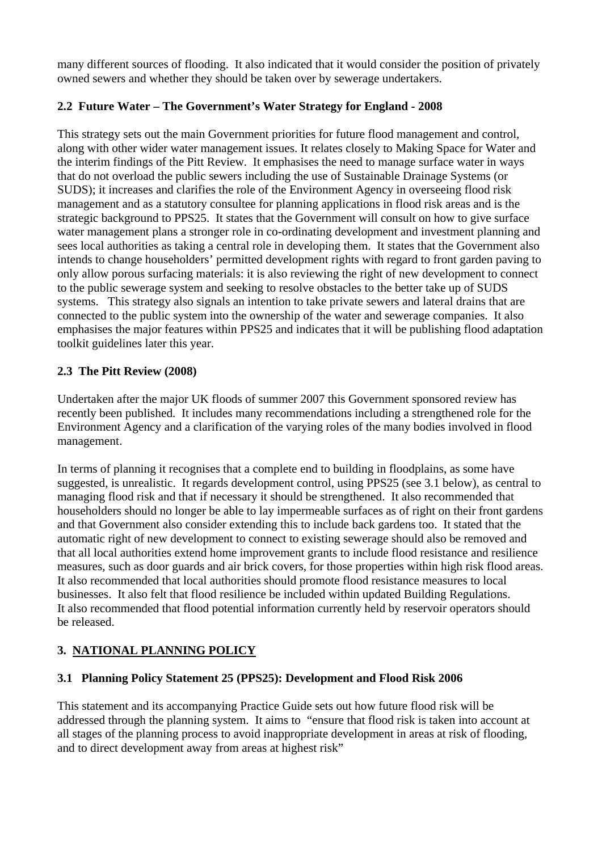many different sources of flooding. It also indicated that it would consider the position of privately owned sewers and whether they should be taken over by sewerage undertakers.

## **2.2 Future Water – The Government's Water Strategy for England - 2008**

This strategy sets out the main Government priorities for future flood management and control, along with other wider water management issues. It relates closely to Making Space for Water and the interim findings of the Pitt Review. It emphasises the need to manage surface water in ways that do not overload the public sewers including the use of Sustainable Drainage Systems (or SUDS); it increases and clarifies the role of the Environment Agency in overseeing flood risk management and as a statutory consultee for planning applications in flood risk areas and is the strategic background to PPS25. It states that the Government will consult on how to give surface water management plans a stronger role in co-ordinating development and investment planning and sees local authorities as taking a central role in developing them. It states that the Government also intends to change householders' permitted development rights with regard to front garden paving to only allow porous surfacing materials: it is also reviewing the right of new development to connect to the public sewerage system and seeking to resolve obstacles to the better take up of SUDS systems. This strategy also signals an intention to take private sewers and lateral drains that are connected to the public system into the ownership of the water and sewerage companies. It also emphasises the major features within PPS25 and indicates that it will be publishing flood adaptation toolkit guidelines later this year.

## **2.3 The Pitt Review (2008)**

Undertaken after the major UK floods of summer 2007 this Government sponsored review has recently been published. It includes many recommendations including a strengthened role for the Environment Agency and a clarification of the varying roles of the many bodies involved in flood management.

In terms of planning it recognises that a complete end to building in floodplains, as some have suggested, is unrealistic. It regards development control, using PPS25 (see 3.1 below), as central to managing flood risk and that if necessary it should be strengthened. It also recommended that householders should no longer be able to lay impermeable surfaces as of right on their front gardens and that Government also consider extending this to include back gardens too. It stated that the automatic right of new development to connect to existing sewerage should also be removed and that all local authorities extend home improvement grants to include flood resistance and resilience measures, such as door guards and air brick covers, for those properties within high risk flood areas. It also recommended that local authorities should promote flood resistance measures to local businesses. It also felt that flood resilience be included within updated Building Regulations. It also recommended that flood potential information currently held by reservoir operators should be released.

# **3. NATIONAL PLANNING POLICY**

## **3.1 Planning Policy Statement 25 (PPS25): Development and Flood Risk 2006**

This statement and its accompanying Practice Guide sets out how future flood risk will be addressed through the planning system. It aims to "ensure that flood risk is taken into account at all stages of the planning process to avoid inappropriate development in areas at risk of flooding, and to direct development away from areas at highest risk"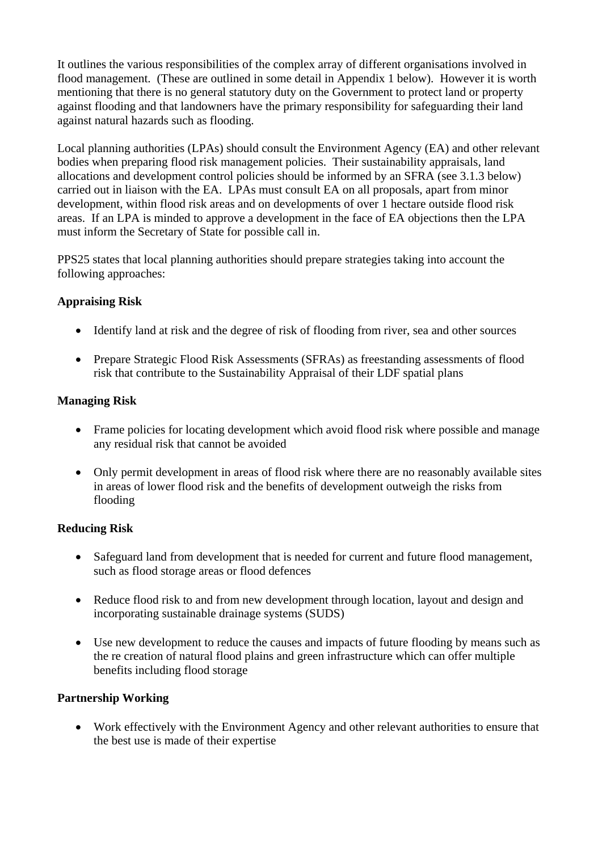It outlines the various responsibilities of the complex array of different organisations involved in flood management. (These are outlined in some detail in Appendix 1 below). However it is worth mentioning that there is no general statutory duty on the Government to protect land or property against flooding and that landowners have the primary responsibility for safeguarding their land against natural hazards such as flooding.

Local planning authorities (LPAs) should consult the Environment Agency (EA) and other relevant bodies when preparing flood risk management policies. Their sustainability appraisals, land allocations and development control policies should be informed by an SFRA (see 3.1.3 below) carried out in liaison with the EA. LPAs must consult EA on all proposals, apart from minor development, within flood risk areas and on developments of over 1 hectare outside flood risk areas. If an LPA is minded to approve a development in the face of EA objections then the LPA must inform the Secretary of State for possible call in.

PPS25 states that local planning authorities should prepare strategies taking into account the following approaches:

## **Appraising Risk**

- Identify land at risk and the degree of risk of flooding from river, sea and other sources
- Prepare Strategic Flood Risk Assessments (SFRAs) as freestanding assessments of flood risk that contribute to the Sustainability Appraisal of their LDF spatial plans

## **Managing Risk**

- Frame policies for locating development which avoid flood risk where possible and manage any residual risk that cannot be avoided
- Only permit development in areas of flood risk where there are no reasonably available sites in areas of lower flood risk and the benefits of development outweigh the risks from flooding

## **Reducing Risk**

- Safeguard land from development that is needed for current and future flood management, such as flood storage areas or flood defences
- Reduce flood risk to and from new development through location, layout and design and incorporating sustainable drainage systems (SUDS)
- Use new development to reduce the causes and impacts of future flooding by means such as the re creation of natural flood plains and green infrastructure which can offer multiple benefits including flood storage

## **Partnership Working**

• Work effectively with the Environment Agency and other relevant authorities to ensure that the best use is made of their expertise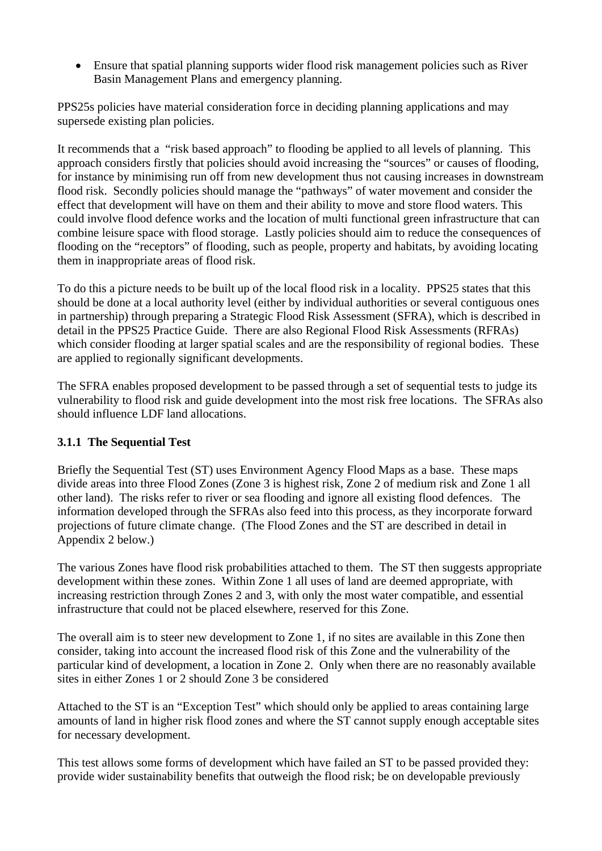• Ensure that spatial planning supports wider flood risk management policies such as River Basin Management Plans and emergency planning.

PPS25s policies have material consideration force in deciding planning applications and may supersede existing plan policies.

It recommends that a "risk based approach" to flooding be applied to all levels of planning. This approach considers firstly that policies should avoid increasing the "sources" or causes of flooding, for instance by minimising run off from new development thus not causing increases in downstream flood risk. Secondly policies should manage the "pathways" of water movement and consider the effect that development will have on them and their ability to move and store flood waters. This could involve flood defence works and the location of multi functional green infrastructure that can combine leisure space with flood storage. Lastly policies should aim to reduce the consequences of flooding on the "receptors" of flooding, such as people, property and habitats, by avoiding locating them in inappropriate areas of flood risk.

To do this a picture needs to be built up of the local flood risk in a locality. PPS25 states that this should be done at a local authority level (either by individual authorities or several contiguous ones in partnership) through preparing a Strategic Flood Risk Assessment (SFRA), which is described in detail in the PPS25 Practice Guide. There are also Regional Flood Risk Assessments (RFRAs) which consider flooding at larger spatial scales and are the responsibility of regional bodies. These are applied to regionally significant developments.

The SFRA enables proposed development to be passed through a set of sequential tests to judge its vulnerability to flood risk and guide development into the most risk free locations. The SFRAs also should influence LDF land allocations.

## **3.1.1 The Sequential Test**

Briefly the Sequential Test (ST) uses Environment Agency Flood Maps as a base. These maps divide areas into three Flood Zones (Zone 3 is highest risk, Zone 2 of medium risk and Zone 1 all other land). The risks refer to river or sea flooding and ignore all existing flood defences. The information developed through the SFRAs also feed into this process, as they incorporate forward projections of future climate change. (The Flood Zones and the ST are described in detail in Appendix 2 below.)

The various Zones have flood risk probabilities attached to them. The ST then suggests appropriate development within these zones. Within Zone 1 all uses of land are deemed appropriate, with increasing restriction through Zones 2 and 3, with only the most water compatible, and essential infrastructure that could not be placed elsewhere, reserved for this Zone.

The overall aim is to steer new development to Zone 1, if no sites are available in this Zone then consider, taking into account the increased flood risk of this Zone and the vulnerability of the particular kind of development, a location in Zone 2. Only when there are no reasonably available sites in either Zones 1 or 2 should Zone 3 be considered

Attached to the ST is an "Exception Test" which should only be applied to areas containing large amounts of land in higher risk flood zones and where the ST cannot supply enough acceptable sites for necessary development.

This test allows some forms of development which have failed an ST to be passed provided they: provide wider sustainability benefits that outweigh the flood risk; be on developable previously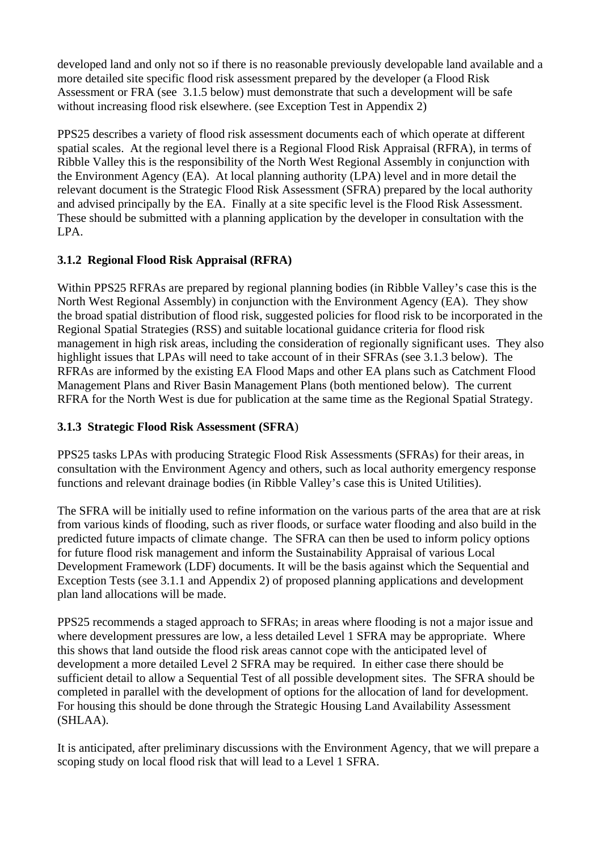developed land and only not so if there is no reasonable previously developable land available and a more detailed site specific flood risk assessment prepared by the developer (a Flood Risk Assessment or FRA (see 3.1.5 below) must demonstrate that such a development will be safe without increasing flood risk elsewhere. (see Exception Test in Appendix 2)

PPS25 describes a variety of flood risk assessment documents each of which operate at different spatial scales. At the regional level there is a Regional Flood Risk Appraisal (RFRA), in terms of Ribble Valley this is the responsibility of the North West Regional Assembly in conjunction with the Environment Agency (EA). At local planning authority (LPA) level and in more detail the relevant document is the Strategic Flood Risk Assessment (SFRA) prepared by the local authority and advised principally by the EA. Finally at a site specific level is the Flood Risk Assessment. These should be submitted with a planning application by the developer in consultation with the LPA.

## **3.1.2 Regional Flood Risk Appraisal (RFRA)**

Within PPS25 RFRAs are prepared by regional planning bodies (in Ribble Valley's case this is the North West Regional Assembly) in conjunction with the Environment Agency (EA). They show the broad spatial distribution of flood risk, suggested policies for flood risk to be incorporated in the Regional Spatial Strategies (RSS) and suitable locational guidance criteria for flood risk management in high risk areas, including the consideration of regionally significant uses. They also highlight issues that LPAs will need to take account of in their SFRAs (see 3.1.3 below). The RFRAs are informed by the existing EA Flood Maps and other EA plans such as Catchment Flood Management Plans and River Basin Management Plans (both mentioned below). The current RFRA for the North West is due for publication at the same time as the Regional Spatial Strategy.

## **3.1.3 Strategic Flood Risk Assessment (SFRA**)

PPS25 tasks LPAs with producing Strategic Flood Risk Assessments (SFRAs) for their areas, in consultation with the Environment Agency and others, such as local authority emergency response functions and relevant drainage bodies (in Ribble Valley's case this is United Utilities).

The SFRA will be initially used to refine information on the various parts of the area that are at risk from various kinds of flooding, such as river floods, or surface water flooding and also build in the predicted future impacts of climate change. The SFRA can then be used to inform policy options for future flood risk management and inform the Sustainability Appraisal of various Local Development Framework (LDF) documents. It will be the basis against which the Sequential and Exception Tests (see 3.1.1 and Appendix 2) of proposed planning applications and development plan land allocations will be made.

PPS25 recommends a staged approach to SFRAs; in areas where flooding is not a major issue and where development pressures are low, a less detailed Level 1 SFRA may be appropriate. Where this shows that land outside the flood risk areas cannot cope with the anticipated level of development a more detailed Level 2 SFRA may be required. In either case there should be sufficient detail to allow a Sequential Test of all possible development sites. The SFRA should be completed in parallel with the development of options for the allocation of land for development. For housing this should be done through the Strategic Housing Land Availability Assessment (SHLAA).

It is anticipated, after preliminary discussions with the Environment Agency, that we will prepare a scoping study on local flood risk that will lead to a Level 1 SFRA.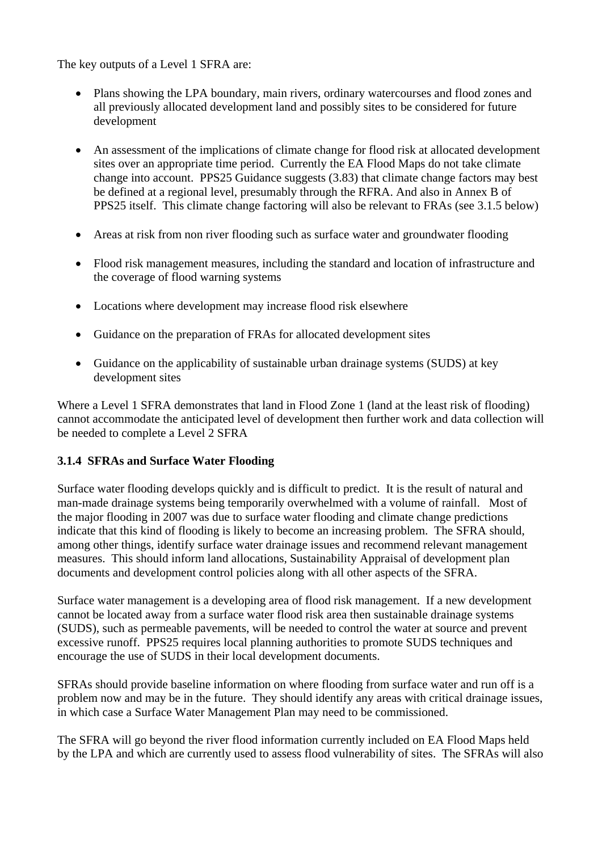The key outputs of a Level 1 SFRA are:

- Plans showing the LPA boundary, main rivers, ordinary watercourses and flood zones and all previously allocated development land and possibly sites to be considered for future development
- An assessment of the implications of climate change for flood risk at allocated development sites over an appropriate time period. Currently the EA Flood Maps do not take climate change into account. PPS25 Guidance suggests (3.83) that climate change factors may best be defined at a regional level, presumably through the RFRA. And also in Annex B of PPS25 itself. This climate change factoring will also be relevant to FRAs (see 3.1.5 below)
- Areas at risk from non river flooding such as surface water and groundwater flooding
- Flood risk management measures, including the standard and location of infrastructure and the coverage of flood warning systems
- Locations where development may increase flood risk elsewhere
- Guidance on the preparation of FRAs for allocated development sites
- Guidance on the applicability of sustainable urban drainage systems (SUDS) at key development sites

Where a Level 1 SFRA demonstrates that land in Flood Zone 1 (land at the least risk of flooding) cannot accommodate the anticipated level of development then further work and data collection will be needed to complete a Level 2 SFRA

## **3.1.4 SFRAs and Surface Water Flooding**

Surface water flooding develops quickly and is difficult to predict. It is the result of natural and man-made drainage systems being temporarily overwhelmed with a volume of rainfall. Most of the major flooding in 2007 was due to surface water flooding and climate change predictions indicate that this kind of flooding is likely to become an increasing problem. The SFRA should, among other things, identify surface water drainage issues and recommend relevant management measures. This should inform land allocations, Sustainability Appraisal of development plan documents and development control policies along with all other aspects of the SFRA.

Surface water management is a developing area of flood risk management. If a new development cannot be located away from a surface water flood risk area then sustainable drainage systems (SUDS), such as permeable pavements, will be needed to control the water at source and prevent excessive runoff. PPS25 requires local planning authorities to promote SUDS techniques and encourage the use of SUDS in their local development documents.

SFRAs should provide baseline information on where flooding from surface water and run off is a problem now and may be in the future. They should identify any areas with critical drainage issues, in which case a Surface Water Management Plan may need to be commissioned.

The SFRA will go beyond the river flood information currently included on EA Flood Maps held by the LPA and which are currently used to assess flood vulnerability of sites. The SFRAs will also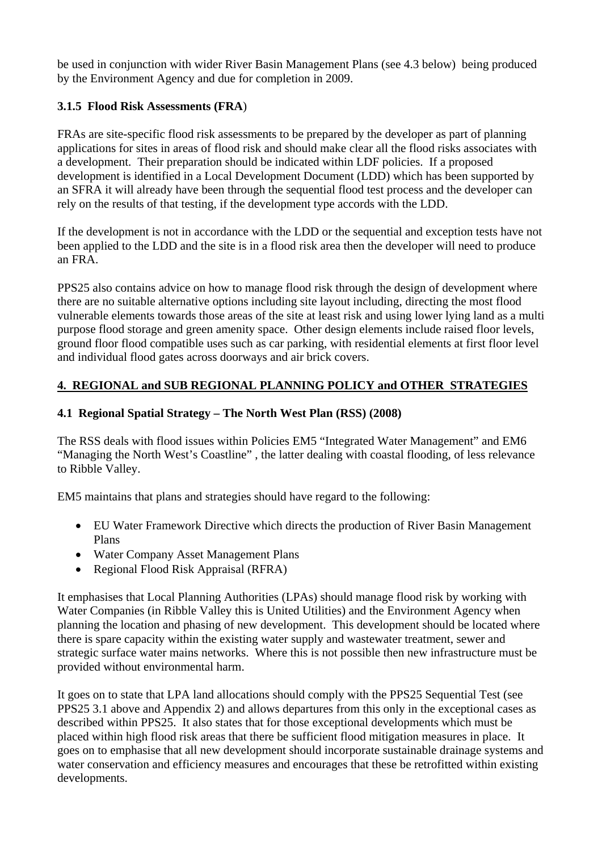be used in conjunction with wider River Basin Management Plans (see 4.3 below) being produced by the Environment Agency and due for completion in 2009.

## **3.1.5 Flood Risk Assessments (FRA**)

FRAs are site-specific flood risk assessments to be prepared by the developer as part of planning applications for sites in areas of flood risk and should make clear all the flood risks associates with a development. Their preparation should be indicated within LDF policies. If a proposed development is identified in a Local Development Document (LDD) which has been supported by an SFRA it will already have been through the sequential flood test process and the developer can rely on the results of that testing, if the development type accords with the LDD.

If the development is not in accordance with the LDD or the sequential and exception tests have not been applied to the LDD and the site is in a flood risk area then the developer will need to produce an FRA.

PPS25 also contains advice on how to manage flood risk through the design of development where there are no suitable alternative options including site layout including, directing the most flood vulnerable elements towards those areas of the site at least risk and using lower lying land as a multi purpose flood storage and green amenity space. Other design elements include raised floor levels, ground floor flood compatible uses such as car parking, with residential elements at first floor level and individual flood gates across doorways and air brick covers.

## **4. REGIONAL and SUB REGIONAL PLANNING POLICY and OTHER STRATEGIES**

## **4.1 Regional Spatial Strategy – The North West Plan (RSS) (2008)**

The RSS deals with flood issues within Policies EM5 "Integrated Water Management" and EM6 "Managing the North West's Coastline" , the latter dealing with coastal flooding, of less relevance to Ribble Valley.

EM5 maintains that plans and strategies should have regard to the following:

- EU Water Framework Directive which directs the production of River Basin Management Plans
- Water Company Asset Management Plans
- Regional Flood Risk Appraisal (RFRA)

It emphasises that Local Planning Authorities (LPAs) should manage flood risk by working with Water Companies (in Ribble Valley this is United Utilities) and the Environment Agency when planning the location and phasing of new development. This development should be located where there is spare capacity within the existing water supply and wastewater treatment, sewer and strategic surface water mains networks. Where this is not possible then new infrastructure must be provided without environmental harm.

It goes on to state that LPA land allocations should comply with the PPS25 Sequential Test (see PPS25 3.1 above and Appendix 2) and allows departures from this only in the exceptional cases as described within PPS25. It also states that for those exceptional developments which must be placed within high flood risk areas that there be sufficient flood mitigation measures in place. It goes on to emphasise that all new development should incorporate sustainable drainage systems and water conservation and efficiency measures and encourages that these be retrofitted within existing developments.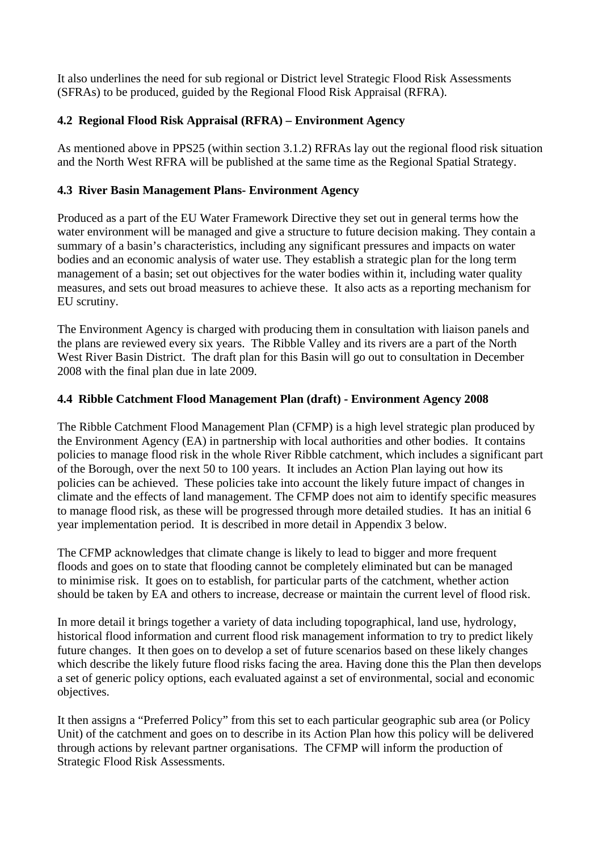It also underlines the need for sub regional or District level Strategic Flood Risk Assessments (SFRAs) to be produced, guided by the Regional Flood Risk Appraisal (RFRA).

## **4.2 Regional Flood Risk Appraisal (RFRA) – Environment Agency**

As mentioned above in PPS25 (within section 3.1.2) RFRAs lay out the regional flood risk situation and the North West RFRA will be published at the same time as the Regional Spatial Strategy.

## **4.3 River Basin Management Plans- Environment Agency**

Produced as a part of the EU Water Framework Directive they set out in general terms how the water environment will be managed and give a structure to future decision making. They contain a summary of a basin's characteristics, including any significant pressures and impacts on water bodies and an economic analysis of water use. They establish a strategic plan for the long term management of a basin; set out objectives for the water bodies within it, including water quality measures, and sets out broad measures to achieve these. It also acts as a reporting mechanism for EU scrutiny.

The Environment Agency is charged with producing them in consultation with liaison panels and the plans are reviewed every six years. The Ribble Valley and its rivers are a part of the North West River Basin District. The draft plan for this Basin will go out to consultation in December 2008 with the final plan due in late 2009.

## **4.4 Ribble Catchment Flood Management Plan (draft) - Environment Agency 2008**

The Ribble Catchment Flood Management Plan (CFMP) is a high level strategic plan produced by the Environment Agency (EA) in partnership with local authorities and other bodies. It contains policies to manage flood risk in the whole River Ribble catchment, which includes a significant part of the Borough, over the next 50 to 100 years. It includes an Action Plan laying out how its policies can be achieved. These policies take into account the likely future impact of changes in climate and the effects of land management. The CFMP does not aim to identify specific measures to manage flood risk, as these will be progressed through more detailed studies. It has an initial 6 year implementation period. It is described in more detail in Appendix 3 below.

The CFMP acknowledges that climate change is likely to lead to bigger and more frequent floods and goes on to state that flooding cannot be completely eliminated but can be managed to minimise risk. It goes on to establish, for particular parts of the catchment, whether action should be taken by EA and others to increase, decrease or maintain the current level of flood risk.

In more detail it brings together a variety of data including topographical, land use, hydrology, historical flood information and current flood risk management information to try to predict likely future changes. It then goes on to develop a set of future scenarios based on these likely changes which describe the likely future flood risks facing the area. Having done this the Plan then develops a set of generic policy options, each evaluated against a set of environmental, social and economic objectives.

It then assigns a "Preferred Policy" from this set to each particular geographic sub area (or Policy Unit) of the catchment and goes on to describe in its Action Plan how this policy will be delivered through actions by relevant partner organisations. The CFMP will inform the production of Strategic Flood Risk Assessments.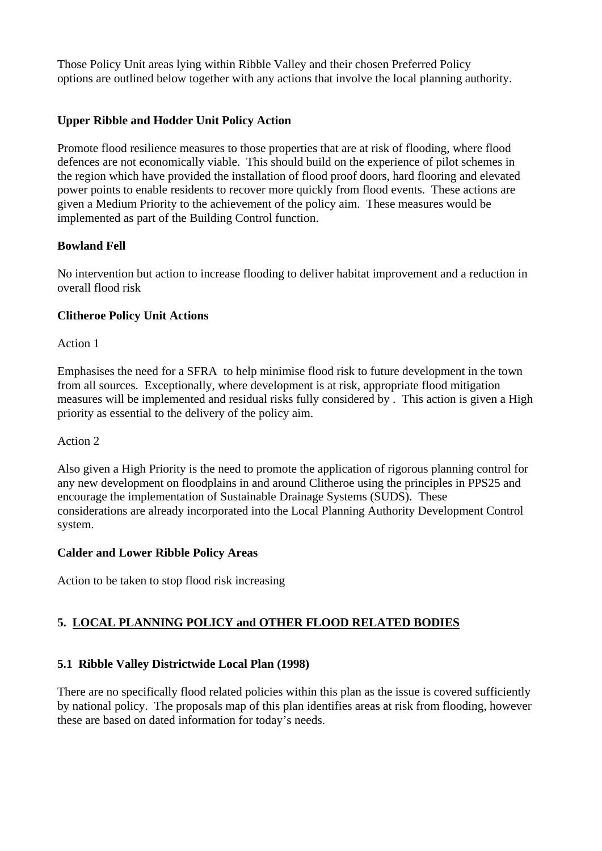Those Policy Unit areas lying within Ribble Valley and their chosen Preferred Policy options are outlined below together with any actions that involve the local planning authority.

## **Upper Ribble and Hodder Unit Policy Action**

Promote flood resilience measures to those properties that are at risk of flooding, where flood defences are not economically viable. This should build on the experience of pilot schemes in the region which have provided the installation of flood proof doors, hard flooring and elevated power points to enable residents to recover more quickly from flood events. These actions are given a Medium Priority to the achievement of the policy aim. These measures would be implemented as part of the Building Control function.

## **Bowland Fell**

No intervention but action to increase flooding to deliver habitat improvement and a reduction in overall flood risk

## **Clitheroe Policy Unit Actions**

Action 1

Emphasises the need for a SFRA to help minimise flood risk to future development in the town from all sources. Exceptionally, where development is at risk, appropriate flood mitigation measures will be implemented and residual risks fully considered by . This action is given a High priority as essential to the delivery of the policy aim.

## Action 2

Also given a High Priority is the need to promote the application of rigorous planning control for any new development on floodplains in and around Clitheroe using the principles in PPS25 and encourage the implementation of Sustainable Drainage Systems (SUDS). These considerations are already incorporated into the Local Planning Authority Development Control system.

## **Calder and Lower Ribble Policy Areas**

Action to be taken to stop flood risk increasing

## **5. LOCAL PLANNING POLICY and OTHER FLOOD RELATED BODIES**

## **5.1 Ribble Valley Districtwide Local Plan (1998)**

There are no specifically flood related policies within this plan as the issue is covered sufficiently by national policy. The proposals map of this plan identifies areas at risk from flooding, however these are based on dated information for today's needs.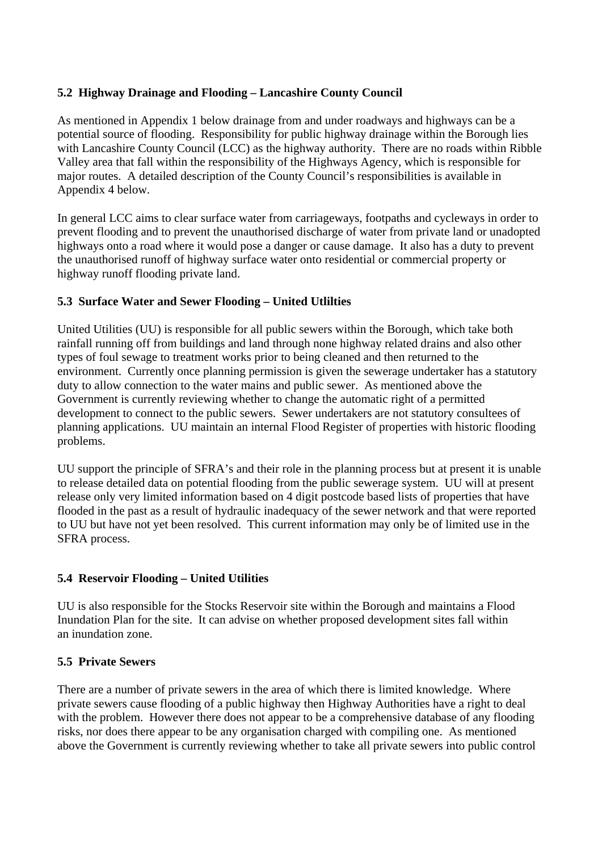## **5.2 Highway Drainage and Flooding – Lancashire County Council**

As mentioned in Appendix 1 below drainage from and under roadways and highways can be a potential source of flooding. Responsibility for public highway drainage within the Borough lies with Lancashire County Council (LCC) as the highway authority. There are no roads within Ribble Valley area that fall within the responsibility of the Highways Agency, which is responsible for major routes. A detailed description of the County Council's responsibilities is available in Appendix 4 below.

In general LCC aims to clear surface water from carriageways, footpaths and cycleways in order to prevent flooding and to prevent the unauthorised discharge of water from private land or unadopted highways onto a road where it would pose a danger or cause damage. It also has a duty to prevent the unauthorised runoff of highway surface water onto residential or commercial property or highway runoff flooding private land.

## **5.3 Surface Water and Sewer Flooding – United Utlilties**

United Utilities (UU) is responsible for all public sewers within the Borough, which take both rainfall running off from buildings and land through none highway related drains and also other types of foul sewage to treatment works prior to being cleaned and then returned to the environment. Currently once planning permission is given the sewerage undertaker has a statutory duty to allow connection to the water mains and public sewer. As mentioned above the Government is currently reviewing whether to change the automatic right of a permitted development to connect to the public sewers. Sewer undertakers are not statutory consultees of planning applications. UU maintain an internal Flood Register of properties with historic flooding problems.

UU support the principle of SFRA's and their role in the planning process but at present it is unable to release detailed data on potential flooding from the public sewerage system. UU will at present release only very limited information based on 4 digit postcode based lists of properties that have flooded in the past as a result of hydraulic inadequacy of the sewer network and that were reported to UU but have not yet been resolved. This current information may only be of limited use in the SFRA process.

## **5.4 Reservoir Flooding – United Utilities**

UU is also responsible for the Stocks Reservoir site within the Borough and maintains a Flood Inundation Plan for the site. It can advise on whether proposed development sites fall within an inundation zone.

## **5.5 Private Sewers**

There are a number of private sewers in the area of which there is limited knowledge. Where private sewers cause flooding of a public highway then Highway Authorities have a right to deal with the problem. However there does not appear to be a comprehensive database of any flooding risks, nor does there appear to be any organisation charged with compiling one. As mentioned above the Government is currently reviewing whether to take all private sewers into public control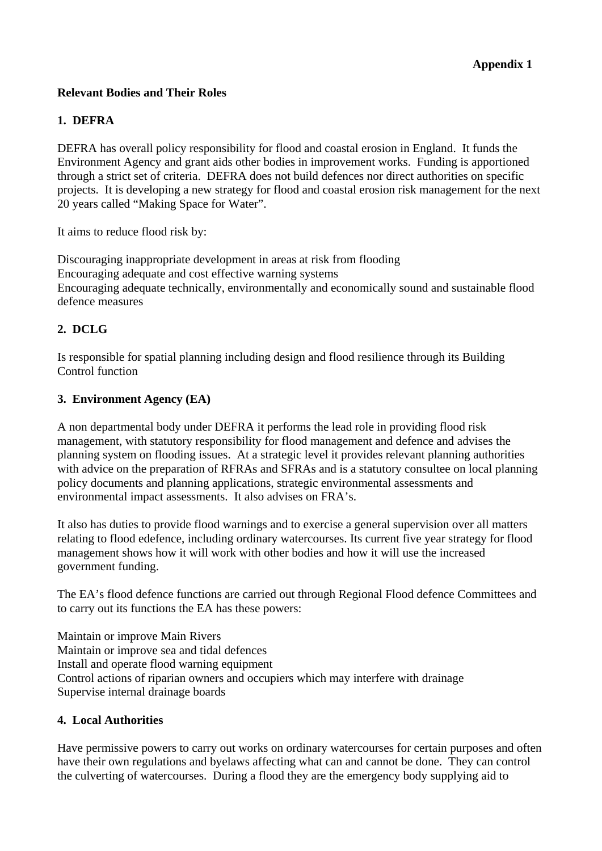## **Relevant Bodies and Their Roles**

#### **1. DEFRA**

DEFRA has overall policy responsibility for flood and coastal erosion in England. It funds the Environment Agency and grant aids other bodies in improvement works. Funding is apportioned through a strict set of criteria. DEFRA does not build defences nor direct authorities on specific projects. It is developing a new strategy for flood and coastal erosion risk management for the next 20 years called "Making Space for Water".

It aims to reduce flood risk by:

Discouraging inappropriate development in areas at risk from flooding Encouraging adequate and cost effective warning systems Encouraging adequate technically, environmentally and economically sound and sustainable flood defence measures

## **2. DCLG**

Is responsible for spatial planning including design and flood resilience through its Building Control function

### **3. Environment Agency (EA)**

A non departmental body under DEFRA it performs the lead role in providing flood risk management, with statutory responsibility for flood management and defence and advises the planning system on flooding issues. At a strategic level it provides relevant planning authorities with advice on the preparation of RFRAs and SFRAs and is a statutory consultee on local planning policy documents and planning applications, strategic environmental assessments and environmental impact assessments. It also advises on FRA's.

It also has duties to provide flood warnings and to exercise a general supervision over all matters relating to flood edefence, including ordinary watercourses. Its current five year strategy for flood management shows how it will work with other bodies and how it will use the increased government funding.

The EA's flood defence functions are carried out through Regional Flood defence Committees and to carry out its functions the EA has these powers:

Maintain or improve Main Rivers Maintain or improve sea and tidal defences Install and operate flood warning equipment Control actions of riparian owners and occupiers which may interfere with drainage Supervise internal drainage boards

#### **4. Local Authorities**

Have permissive powers to carry out works on ordinary watercourses for certain purposes and often have their own regulations and byelaws affecting what can and cannot be done. They can control the culverting of watercourses. During a flood they are the emergency body supplying aid to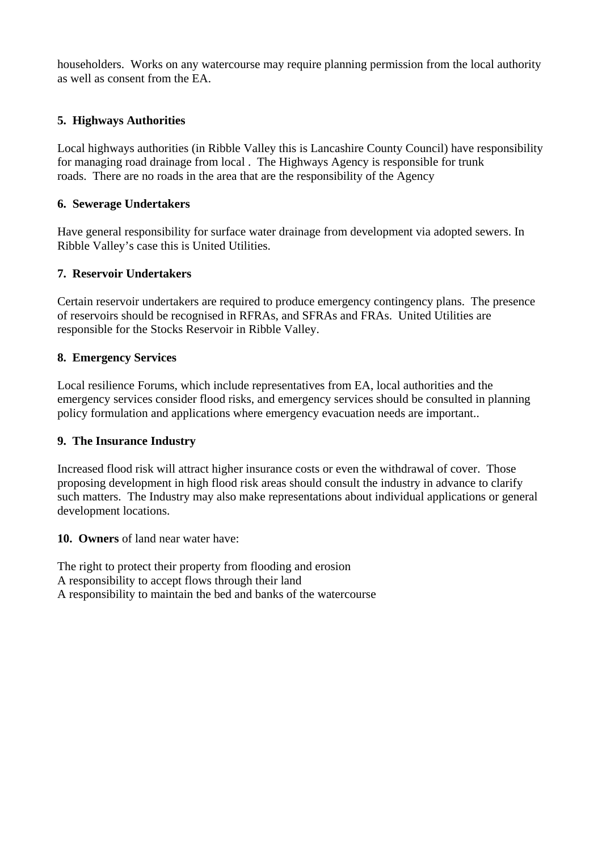householders. Works on any watercourse may require planning permission from the local authority as well as consent from the EA.

## **5. Highways Authorities**

Local highways authorities (in Ribble Valley this is Lancashire County Council) have responsibility for managing road drainage from local . The Highways Agency is responsible for trunk roads. There are no roads in the area that are the responsibility of the Agency

## **6. Sewerage Undertakers**

Have general responsibility for surface water drainage from development via adopted sewers. In Ribble Valley's case this is United Utilities.

## **7. Reservoir Undertakers**

Certain reservoir undertakers are required to produce emergency contingency plans. The presence of reservoirs should be recognised in RFRAs, and SFRAs and FRAs. United Utilities are responsible for the Stocks Reservoir in Ribble Valley.

## **8. Emergency Services**

Local resilience Forums, which include representatives from EA, local authorities and the emergency services consider flood risks, and emergency services should be consulted in planning policy formulation and applications where emergency evacuation needs are important..

## **9. The Insurance Industry**

Increased flood risk will attract higher insurance costs or even the withdrawal of cover. Those proposing development in high flood risk areas should consult the industry in advance to clarify such matters. The Industry may also make representations about individual applications or general development locations.

**10. Owners** of land near water have:

The right to protect their property from flooding and erosion A responsibility to accept flows through their land A responsibility to maintain the bed and banks of the watercourse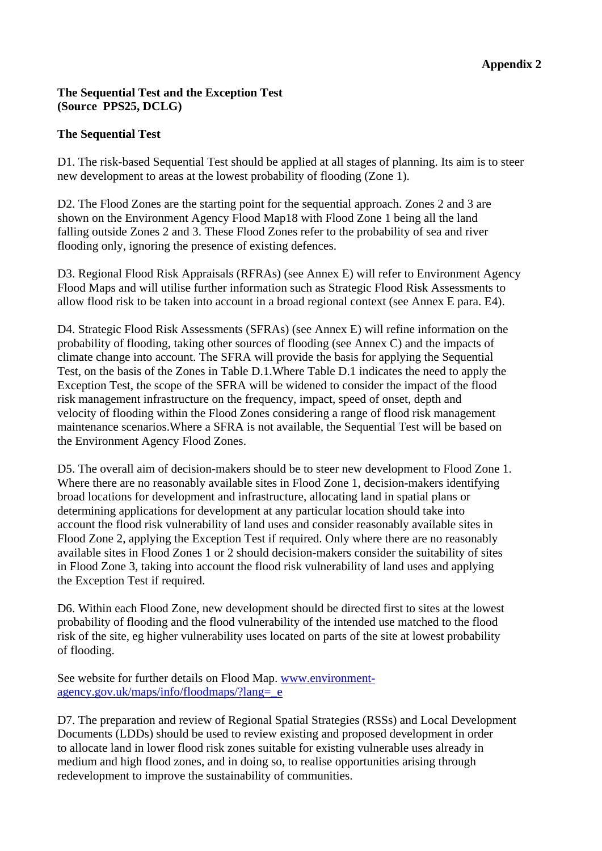## **The Sequential Test and the Exception Test (Source PPS25, DCLG)**

### **The Sequential Test**

D1. The risk-based Sequential Test should be applied at all stages of planning. Its aim is to steer new development to areas at the lowest probability of flooding (Zone 1).

D2. The Flood Zones are the starting point for the sequential approach. Zones 2 and 3 are shown on the Environment Agency Flood Map18 with Flood Zone 1 being all the land falling outside Zones 2 and 3. These Flood Zones refer to the probability of sea and river flooding only, ignoring the presence of existing defences.

D3. Regional Flood Risk Appraisals (RFRAs) (see Annex E) will refer to Environment Agency Flood Maps and will utilise further information such as Strategic Flood Risk Assessments to allow flood risk to be taken into account in a broad regional context (see Annex E para. E4).

D4. Strategic Flood Risk Assessments (SFRAs) (see Annex E) will refine information on the probability of flooding, taking other sources of flooding (see Annex C) and the impacts of climate change into account. The SFRA will provide the basis for applying the Sequential Test, on the basis of the Zones in Table D.1.Where Table D.1 indicates the need to apply the Exception Test, the scope of the SFRA will be widened to consider the impact of the flood risk management infrastructure on the frequency, impact, speed of onset, depth and velocity of flooding within the Flood Zones considering a range of flood risk management maintenance scenarios.Where a SFRA is not available, the Sequential Test will be based on the Environment Agency Flood Zones.

D5. The overall aim of decision-makers should be to steer new development to Flood Zone 1. Where there are no reasonably available sites in Flood Zone 1, decision-makers identifying broad locations for development and infrastructure, allocating land in spatial plans or determining applications for development at any particular location should take into account the flood risk vulnerability of land uses and consider reasonably available sites in Flood Zone 2, applying the Exception Test if required. Only where there are no reasonably available sites in Flood Zones 1 or 2 should decision-makers consider the suitability of sites in Flood Zone 3, taking into account the flood risk vulnerability of land uses and applying the Exception Test if required.

D6. Within each Flood Zone, new development should be directed first to sites at the lowest probability of flooding and the flood vulnerability of the intended use matched to the flood risk of the site, eg higher vulnerability uses located on parts of the site at lowest probability of flooding.

See website for further details on Flood Map. [www.environment](http://www.environment-agency.gov.uk/maps/info/floodmaps/?lang=_e)[agency.gov.uk/maps/info/floodmaps/?lang=\\_e](http://www.environment-agency.gov.uk/maps/info/floodmaps/?lang=_e)

D7. The preparation and review of Regional Spatial Strategies (RSSs) and Local Development Documents (LDDs) should be used to review existing and proposed development in order to allocate land in lower flood risk zones suitable for existing vulnerable uses already in medium and high flood zones, and in doing so, to realise opportunities arising through redevelopment to improve the sustainability of communities.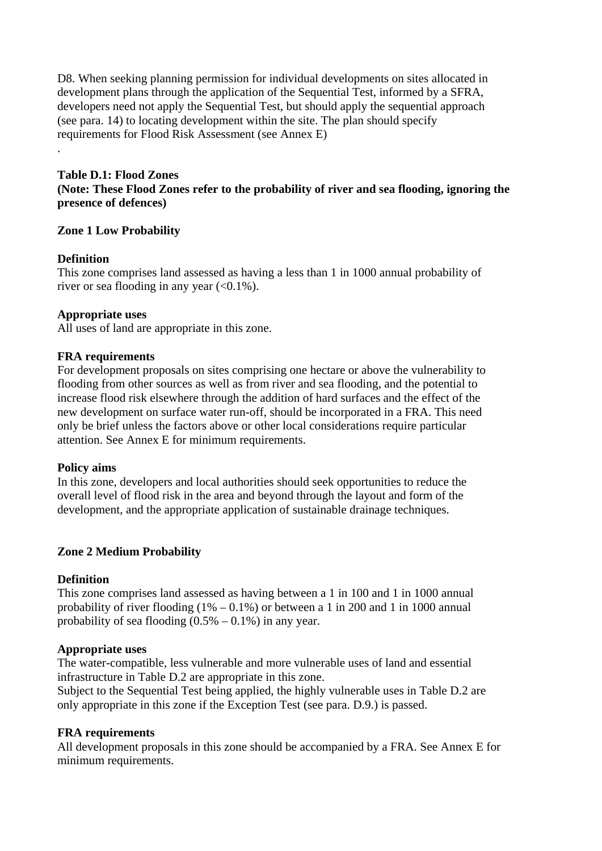D8. When seeking planning permission for individual developments on sites allocated in development plans through the application of the Sequential Test, informed by a SFRA, developers need not apply the Sequential Test, but should apply the sequential approach (see para. 14) to locating development within the site. The plan should specify requirements for Flood Risk Assessment (see Annex E)

## **Table D.1: Flood Zones (Note: These Flood Zones refer to the probability of river and sea flooding, ignoring the presence of defences)**

### **Zone 1 Low Probability**

#### **Definition**

.

This zone comprises land assessed as having a less than 1 in 1000 annual probability of river or sea flooding in any year  $( $0.1\%$ ).$ 

### **Appropriate uses**

All uses of land are appropriate in this zone.

### **FRA requirements**

For development proposals on sites comprising one hectare or above the vulnerability to flooding from other sources as well as from river and sea flooding, and the potential to increase flood risk elsewhere through the addition of hard surfaces and the effect of the new development on surface water run-off, should be incorporated in a FRA. This need only be brief unless the factors above or other local considerations require particular attention. See Annex E for minimum requirements.

#### **Policy aims**

In this zone, developers and local authorities should seek opportunities to reduce the overall level of flood risk in the area and beyond through the layout and form of the development, and the appropriate application of sustainable drainage techniques.

## **Zone 2 Medium Probability**

## **Definition**

This zone comprises land assessed as having between a 1 in 100 and 1 in 1000 annual probability of river flooding  $(1\% - 0.1\%)$  or between a 1 in 200 and 1 in 1000 annual probability of sea flooding  $(0.5\% - 0.1\%)$  in any year.

## **Appropriate uses**

The water-compatible, less vulnerable and more vulnerable uses of land and essential infrastructure in Table D.2 are appropriate in this zone.

Subject to the Sequential Test being applied, the highly vulnerable uses in Table D.2 are only appropriate in this zone if the Exception Test (see para. D.9.) is passed.

## **FRA requirements**

All development proposals in this zone should be accompanied by a FRA. See Annex E for minimum requirements.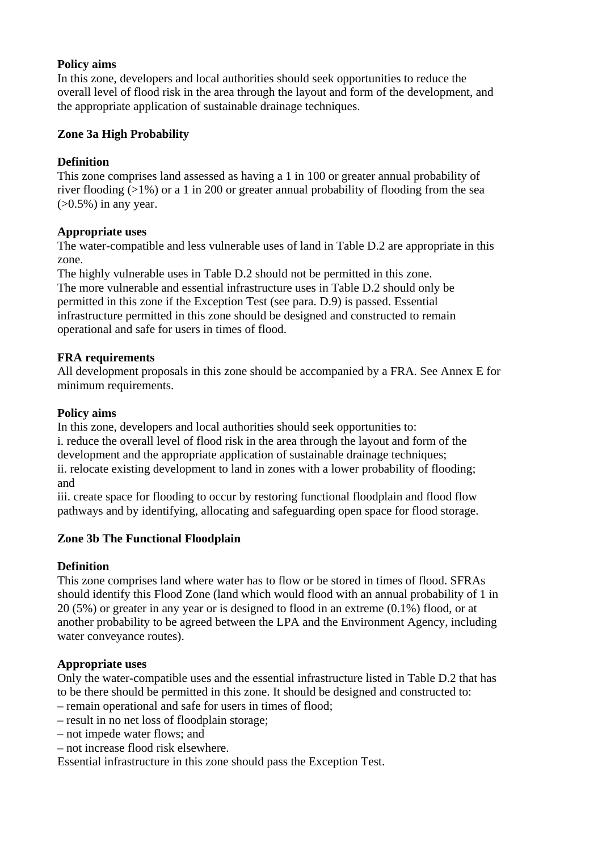### **Policy aims**

In this zone, developers and local authorities should seek opportunities to reduce the overall level of flood risk in the area through the layout and form of the development, and the appropriate application of sustainable drainage techniques.

### **Zone 3a High Probability**

## **Definition**

This zone comprises land assessed as having a 1 in 100 or greater annual probability of river flooding (>1%) or a 1 in 200 or greater annual probability of flooding from the sea  $(>0.5\%)$  in any year.

### **Appropriate uses**

The water-compatible and less vulnerable uses of land in Table D.2 are appropriate in this zone.

The highly vulnerable uses in Table D.2 should not be permitted in this zone. The more vulnerable and essential infrastructure uses in Table D.2 should only be permitted in this zone if the Exception Test (see para. D.9) is passed. Essential infrastructure permitted in this zone should be designed and constructed to remain operational and safe for users in times of flood.

### **FRA requirements**

All development proposals in this zone should be accompanied by a FRA. See Annex E for minimum requirements.

### **Policy aims**

In this zone, developers and local authorities should seek opportunities to: i. reduce the overall level of flood risk in the area through the layout and form of the development and the appropriate application of sustainable drainage techniques; ii. relocate existing development to land in zones with a lower probability of flooding; and

iii. create space for flooding to occur by restoring functional floodplain and flood flow pathways and by identifying, allocating and safeguarding open space for flood storage.

## **Zone 3b The Functional Floodplain**

## **Definition**

This zone comprises land where water has to flow or be stored in times of flood. SFRAs should identify this Flood Zone (land which would flood with an annual probability of 1 in 20 (5%) or greater in any year or is designed to flood in an extreme (0.1%) flood, or at another probability to be agreed between the LPA and the Environment Agency, including water conveyance routes).

#### **Appropriate uses**

Only the water-compatible uses and the essential infrastructure listed in Table D.2 that has to be there should be permitted in this zone. It should be designed and constructed to: – remain operational and safe for users in times of flood;

- result in no net loss of floodplain storage;
- not impede water flows; and
- not increase flood risk elsewhere.

Essential infrastructure in this zone should pass the Exception Test.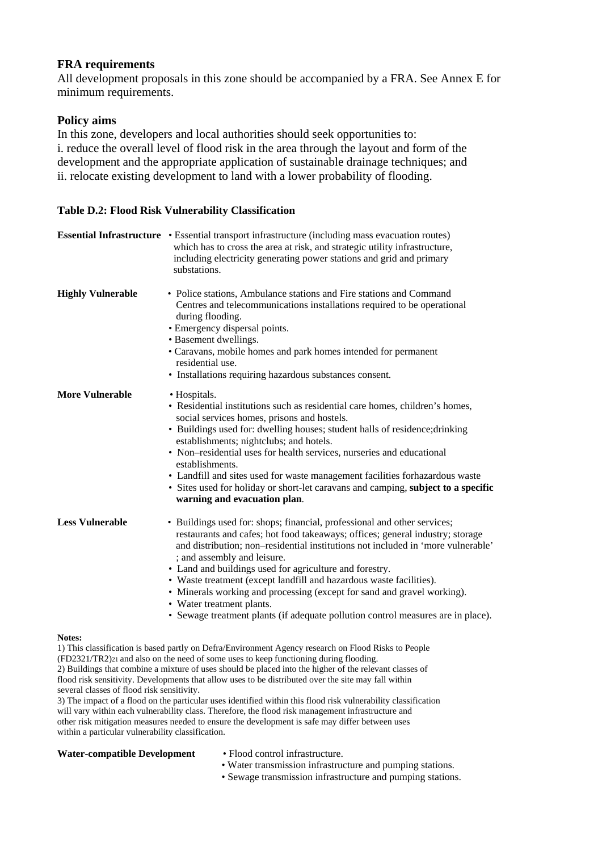#### **FRA requirements**

All development proposals in this zone should be accompanied by a FRA. See Annex E for minimum requirements.

### **Policy aims**

In this zone, developers and local authorities should seek opportunities to: i. reduce the overall level of flood risk in the area through the layout and form of the development and the appropriate application of sustainable drainage techniques; and ii. relocate existing development to land with a lower probability of flooding.

#### **Table D.2: Flood Risk Vulnerability Classification**

|                          | <b>Essential Infrastructure</b> • Essential transport infrastructure (including mass evacuation routes)<br>which has to cross the area at risk, and strategic utility infrastructure,<br>including electricity generating power stations and grid and primary<br>substations.                                                                                                                                                                                                                                                                                                                              |
|--------------------------|------------------------------------------------------------------------------------------------------------------------------------------------------------------------------------------------------------------------------------------------------------------------------------------------------------------------------------------------------------------------------------------------------------------------------------------------------------------------------------------------------------------------------------------------------------------------------------------------------------|
| <b>Highly Vulnerable</b> | • Police stations, Ambulance stations and Fire stations and Command<br>Centres and telecommunications installations required to be operational<br>during flooding.<br>• Emergency dispersal points.<br>• Basement dwellings.<br>• Caravans, mobile homes and park homes intended for permanent<br>residential use.<br>• Installations requiring hazardous substances consent.                                                                                                                                                                                                                              |
| <b>More Vulnerable</b>   | • Hospitals.<br>• Residential institutions such as residential care homes, children's homes,<br>social services homes, prisons and hostels.<br>• Buildings used for: dwelling houses; student halls of residence; drinking<br>establishments; nightclubs; and hotels.<br>• Non-residential uses for health services, nurseries and educational<br>establishments.<br>• Landfill and sites used for waste management facilities forhazardous waste<br>• Sites used for holiday or short-let caravans and camping, subject to a specific<br>warning and evacuation plan.                                     |
| <b>Less Vulnerable</b>   | • Buildings used for: shops; financial, professional and other services;<br>restaurants and cafes; hot food takeaways; offices; general industry; storage<br>and distribution; non-residential institutions not included in 'more vulnerable'<br>; and assembly and leisure.<br>• Land and buildings used for agriculture and forestry.<br>• Waste treatment (except landfill and hazardous waste facilities).<br>• Minerals working and processing (except for sand and gravel working).<br>• Water treatment plants.<br>• Sewage treatment plants (if adequate pollution control measures are in place). |
| Notes:                   |                                                                                                                                                                                                                                                                                                                                                                                                                                                                                                                                                                                                            |

1) This classification is based partly on Defra/Environment Agency research on Flood Risks to People (FD2321/TR2)21 and also on the need of some uses to keep functioning during flooding. 2) Buildings that combine a mixture of uses should be placed into the higher of the relevant classes of flood risk sensitivity. Developments that allow uses to be distributed over the site may fall within several classes of flood risk sensitivity.

3) The impact of a flood on the particular uses identified within this flood risk vulnerability classification will vary within each vulnerability class. Therefore, the flood risk management infrastructure and other risk mitigation measures needed to ensure the development is safe may differ between uses within a particular vulnerability classification.

#### Water-compatible Development • Flood control infrastructure.

- 
- Water transmission infrastructure and pumping stations.
- Sewage transmission infrastructure and pumping stations.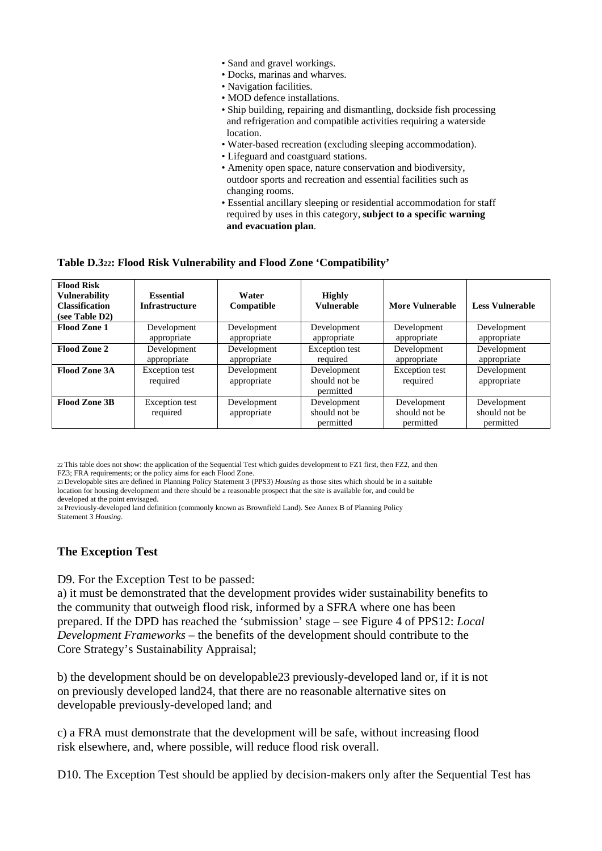- Sand and gravel workings.
- Docks, marinas and wharves.
- Navigation facilities.
- MOD defence installations.
- Ship building, repairing and dismantling, dockside fish processing and refrigeration and compatible activities requiring a waterside location.
- Water-based recreation (excluding sleeping accommodation).
- Lifeguard and coastguard stations.
- Amenity open space, nature conservation and biodiversity, outdoor sports and recreation and essential facilities such as changing rooms.
- Essential ancillary sleeping or residential accommodation for staff required by uses in this category, **subject to a specific warning and evacuation plan**.

#### **Table D.322: Flood Risk Vulnerability and Flood Zone 'Compatibility'**

| <b>Flood Risk</b><br><b>Vulnerability</b><br><b>Classification</b><br>(see Table D2) | <b>Essential</b><br><b>Infrastructure</b> | Water<br>Compatible        | <b>Highly</b><br><b>Vulnerable</b>        | More Vulnerable                           | <b>Less Vulnerable</b>                    |
|--------------------------------------------------------------------------------------|-------------------------------------------|----------------------------|-------------------------------------------|-------------------------------------------|-------------------------------------------|
| <b>Flood Zone 1</b>                                                                  | Development<br>appropriate                | Development<br>appropriate | Development<br>appropriate                | Development<br>appropriate                | Development<br>appropriate                |
| Flood Zone 2                                                                         | Development<br>appropriate                | Development<br>appropriate | <b>Exception</b> test<br>required         | Development<br>appropriate                | Development<br>appropriate                |
| <b>Flood Zone 3A</b>                                                                 | Exception test<br>required                | Development<br>appropriate | Development<br>should not be<br>permitted | Exception test<br>required                | Development<br>appropriate                |
| Flood Zone 3B                                                                        | Exception test<br>required                | Development<br>appropriate | Development<br>should not be<br>permitted | Development<br>should not be<br>permitted | Development<br>should not be<br>permitted |

22 This table does not show: the application of the Sequential Test which guides development to FZ1 first, then FZ2, and then FZ3; FRA requirements; or the policy aims for each Flood Zone.

23 Developable sites are defined in Planning Policy Statement 3 (PPS3) *Housing* as those sites which should be in a suitable location for housing development and there should be a reasonable prospect that the site is available for, and could be developed at the point envisaged.

24 Previously-developed land definition (commonly known as Brownfield Land). See Annex B of Planning Policy Statement 3 *Housing*.

#### **The Exception Test**

D9. For the Exception Test to be passed:

a) it must be demonstrated that the development provides wider sustainability benefits to the community that outweigh flood risk, informed by a SFRA where one has been prepared. If the DPD has reached the 'submission' stage – see Figure 4 of PPS12: *Local Development Frameworks* – the benefits of the development should contribute to the Core Strategy's Sustainability Appraisal;

b) the development should be on developable23 previously-developed land or, if it is not on previously developed land24, that there are no reasonable alternative sites on developable previously-developed land; and

c) a FRA must demonstrate that the development will be safe, without increasing flood risk elsewhere, and, where possible, will reduce flood risk overall.

D10. The Exception Test should be applied by decision-makers only after the Sequential Test has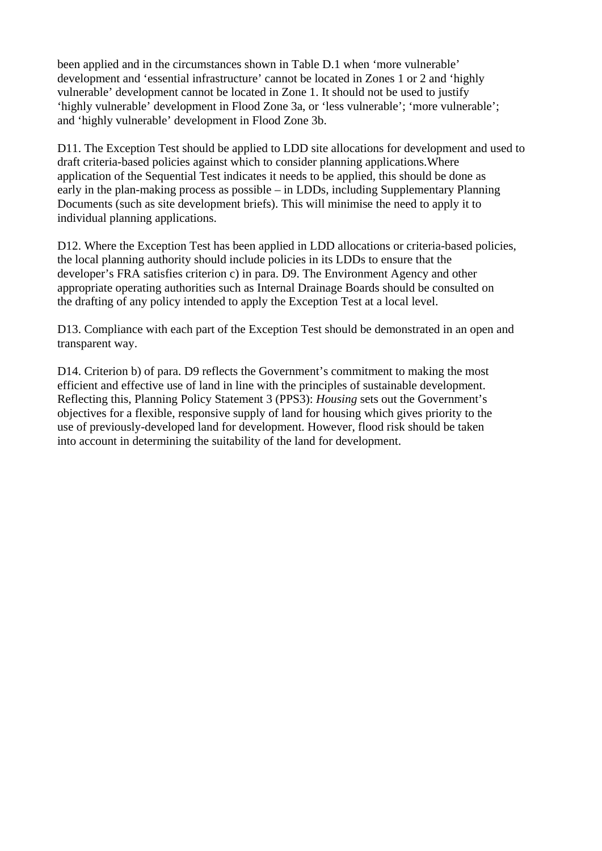been applied and in the circumstances shown in Table D.1 when 'more vulnerable' development and 'essential infrastructure' cannot be located in Zones 1 or 2 and 'highly vulnerable' development cannot be located in Zone 1. It should not be used to justify 'highly vulnerable' development in Flood Zone 3a, or 'less vulnerable'; 'more vulnerable'; and 'highly vulnerable' development in Flood Zone 3b.

D11. The Exception Test should be applied to LDD site allocations for development and used to draft criteria-based policies against which to consider planning applications.Where application of the Sequential Test indicates it needs to be applied, this should be done as early in the plan-making process as possible – in LDDs, including Supplementary Planning Documents (such as site development briefs). This will minimise the need to apply it to individual planning applications.

D12. Where the Exception Test has been applied in LDD allocations or criteria-based policies, the local planning authority should include policies in its LDDs to ensure that the developer's FRA satisfies criterion c) in para. D9. The Environment Agency and other appropriate operating authorities such as Internal Drainage Boards should be consulted on the drafting of any policy intended to apply the Exception Test at a local level.

D13. Compliance with each part of the Exception Test should be demonstrated in an open and transparent way.

D14. Criterion b) of para. D9 reflects the Government's commitment to making the most efficient and effective use of land in line with the principles of sustainable development. Reflecting this, Planning Policy Statement 3 (PPS3): *Housing* sets out the Government's objectives for a flexible, responsive supply of land for housing which gives priority to the use of previously-developed land for development. However, flood risk should be taken into account in determining the suitability of the land for development.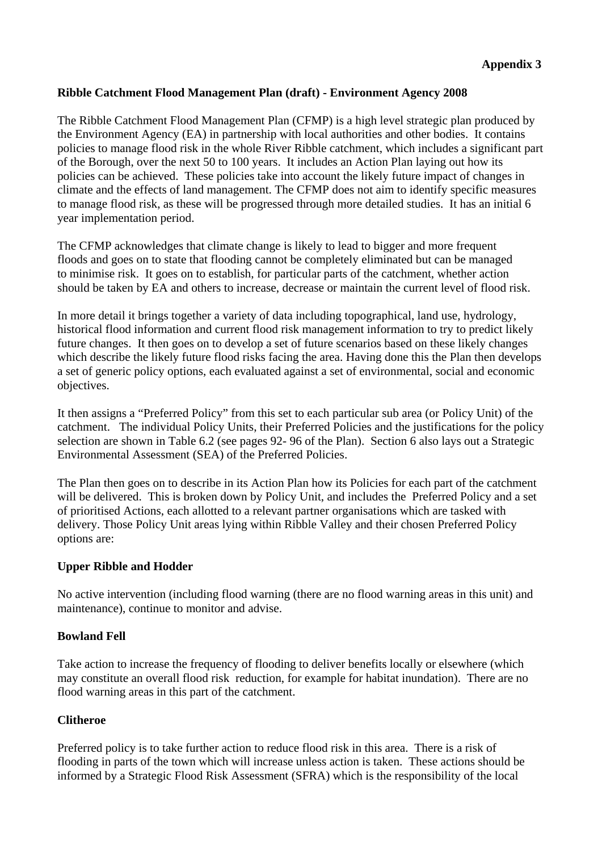## **Ribble Catchment Flood Management Plan (draft) - Environment Agency 2008**

The Ribble Catchment Flood Management Plan (CFMP) is a high level strategic plan produced by the Environment Agency (EA) in partnership with local authorities and other bodies. It contains policies to manage flood risk in the whole River Ribble catchment, which includes a significant part of the Borough, over the next 50 to 100 years. It includes an Action Plan laying out how its policies can be achieved. These policies take into account the likely future impact of changes in climate and the effects of land management. The CFMP does not aim to identify specific measures to manage flood risk, as these will be progressed through more detailed studies. It has an initial 6 year implementation period.

The CFMP acknowledges that climate change is likely to lead to bigger and more frequent floods and goes on to state that flooding cannot be completely eliminated but can be managed to minimise risk. It goes on to establish, for particular parts of the catchment, whether action should be taken by EA and others to increase, decrease or maintain the current level of flood risk.

In more detail it brings together a variety of data including topographical, land use, hydrology, historical flood information and current flood risk management information to try to predict likely future changes. It then goes on to develop a set of future scenarios based on these likely changes which describe the likely future flood risks facing the area. Having done this the Plan then develops a set of generic policy options, each evaluated against a set of environmental, social and economic objectives.

It then assigns a "Preferred Policy" from this set to each particular sub area (or Policy Unit) of the catchment. The individual Policy Units, their Preferred Policies and the justifications for the policy selection are shown in Table 6.2 (see pages 92- 96 of the Plan). Section 6 also lays out a Strategic Environmental Assessment (SEA) of the Preferred Policies.

The Plan then goes on to describe in its Action Plan how its Policies for each part of the catchment will be delivered. This is broken down by Policy Unit, and includes the Preferred Policy and a set of prioritised Actions, each allotted to a relevant partner organisations which are tasked with delivery. Those Policy Unit areas lying within Ribble Valley and their chosen Preferred Policy options are:

## **Upper Ribble and Hodder**

No active intervention (including flood warning (there are no flood warning areas in this unit) and maintenance), continue to monitor and advise.

## **Bowland Fell**

Take action to increase the frequency of flooding to deliver benefits locally or elsewhere (which may constitute an overall flood risk reduction, for example for habitat inundation). There are no flood warning areas in this part of the catchment.

## **Clitheroe**

Preferred policy is to take further action to reduce flood risk in this area. There is a risk of flooding in parts of the town which will increase unless action is taken. These actions should be informed by a Strategic Flood Risk Assessment (SFRA) which is the responsibility of the local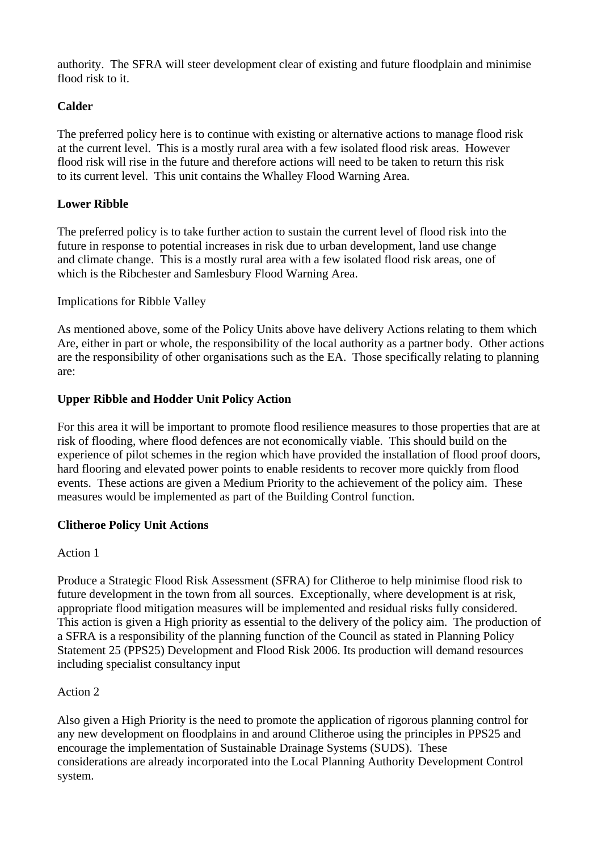authority. The SFRA will steer development clear of existing and future floodplain and minimise flood risk to it.

## **Calder**

The preferred policy here is to continue with existing or alternative actions to manage flood risk at the current level. This is a mostly rural area with a few isolated flood risk areas. However flood risk will rise in the future and therefore actions will need to be taken to return this risk to its current level. This unit contains the Whalley Flood Warning Area.

## **Lower Ribble**

The preferred policy is to take further action to sustain the current level of flood risk into the future in response to potential increases in risk due to urban development, land use change and climate change. This is a mostly rural area with a few isolated flood risk areas, one of which is the Ribchester and Samlesbury Flood Warning Area.

## Implications for Ribble Valley

As mentioned above, some of the Policy Units above have delivery Actions relating to them which Are, either in part or whole, the responsibility of the local authority as a partner body. Other actions are the responsibility of other organisations such as the EA. Those specifically relating to planning are:

## **Upper Ribble and Hodder Unit Policy Action**

For this area it will be important to promote flood resilience measures to those properties that are at risk of flooding, where flood defences are not economically viable. This should build on the experience of pilot schemes in the region which have provided the installation of flood proof doors, hard flooring and elevated power points to enable residents to recover more quickly from flood events. These actions are given a Medium Priority to the achievement of the policy aim. These measures would be implemented as part of the Building Control function.

## **Clitheroe Policy Unit Actions**

## Action 1

Produce a Strategic Flood Risk Assessment (SFRA) for Clitheroe to help minimise flood risk to future development in the town from all sources. Exceptionally, where development is at risk, appropriate flood mitigation measures will be implemented and residual risks fully considered. This action is given a High priority as essential to the delivery of the policy aim. The production of a SFRA is a responsibility of the planning function of the Council as stated in Planning Policy Statement 25 (PPS25) Development and Flood Risk 2006. Its production will demand resources including specialist consultancy input

# Action 2

Also given a High Priority is the need to promote the application of rigorous planning control for any new development on floodplains in and around Clitheroe using the principles in PPS25 and encourage the implementation of Sustainable Drainage Systems (SUDS). These considerations are already incorporated into the Local Planning Authority Development Control system.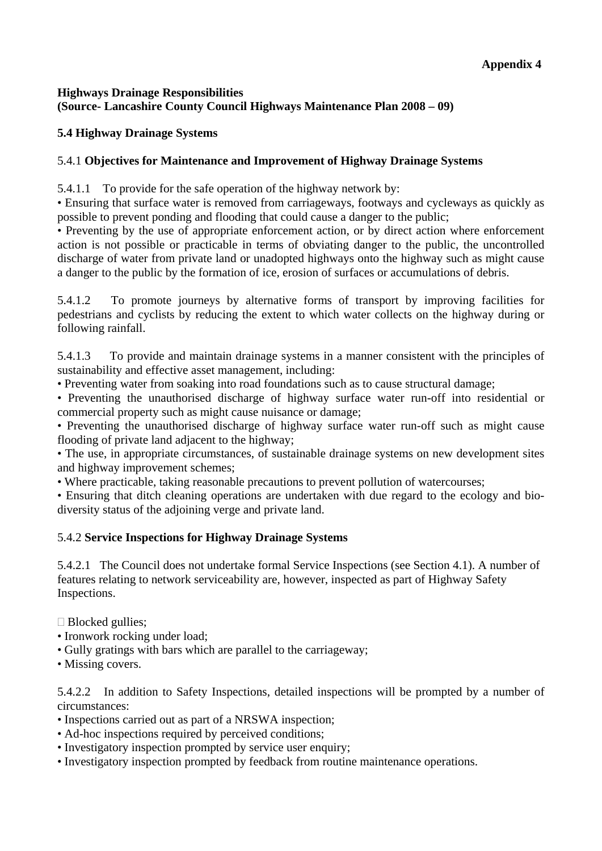## **Highways Drainage Responsibilities (Source- Lancashire County Council Highways Maintenance Plan 2008 – 09)**

## **5.4 Highway Drainage Systems**

## 5.4.1 **Objectives for Maintenance and Improvement of Highway Drainage Systems**

5.4.1.1 To provide for the safe operation of the highway network by:

• Ensuring that surface water is removed from carriageways, footways and cycleways as quickly as possible to prevent ponding and flooding that could cause a danger to the public;

• Preventing by the use of appropriate enforcement action, or by direct action where enforcement action is not possible or practicable in terms of obviating danger to the public, the uncontrolled discharge of water from private land or unadopted highways onto the highway such as might cause a danger to the public by the formation of ice, erosion of surfaces or accumulations of debris.

5.4.1.2 To promote journeys by alternative forms of transport by improving facilities for pedestrians and cyclists by reducing the extent to which water collects on the highway during or following rainfall.

5.4.1.3 To provide and maintain drainage systems in a manner consistent with the principles of sustainability and effective asset management, including:

• Preventing water from soaking into road foundations such as to cause structural damage;

• Preventing the unauthorised discharge of highway surface water run-off into residential or commercial property such as might cause nuisance or damage;

• Preventing the unauthorised discharge of highway surface water run-off such as might cause flooding of private land adjacent to the highway;

• The use, in appropriate circumstances, of sustainable drainage systems on new development sites and highway improvement schemes;

• Where practicable, taking reasonable precautions to prevent pollution of watercourses;

• Ensuring that ditch cleaning operations are undertaken with due regard to the ecology and biodiversity status of the adjoining verge and private land.

## 5.4.2 **Service Inspections for Highway Drainage Systems**

5.4.2.1 The Council does not undertake formal Service Inspections (see Section 4.1). A number of features relating to network serviceability are, however, inspected as part of Highway Safety Inspections.

 $\Box$  Blocked gullies;

- Ironwork rocking under load:
- Gully gratings with bars which are parallel to the carriageway;
- Missing covers.

5.4.2.2 In addition to Safety Inspections, detailed inspections will be prompted by a number of circumstances:

- Inspections carried out as part of a NRSWA inspection;
- Ad-hoc inspections required by perceived conditions;
- Investigatory inspection prompted by service user enquiry;
- Investigatory inspection prompted by feedback from routine maintenance operations.